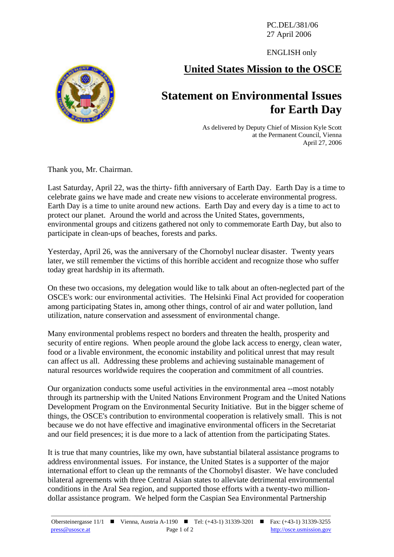PC.DEL/381/06 27 April 2006

ENGLISH only

## **United States Mission to the OSCE**

## **Statement on Environmental Issues for Earth Day**

As delivered by Deputy Chief of Mission Kyle Scott at the Permanent Council, Vienna April 27, 2006

Thank you, Mr. Chairman.

Last Saturday, April 22, was the thirty- fifth anniversary of Earth Day. Earth Day is a time to celebrate gains we have made and create new visions to accelerate environmental progress. Earth Day is a time to unite around new actions. Earth Day and every day is a time to act to protect our planet. Around the world and across the United States, governments, environmental groups and citizens gathered not only to commemorate Earth Day, but also to participate in clean-ups of beaches, forests and parks.

Yesterday, April 26, was the anniversary of the Chornobyl nuclear disaster. Twenty years later, we still remember the victims of this horrible accident and recognize those who suffer today great hardship in its aftermath.

On these two occasions, my delegation would like to talk about an often-neglected part of the OSCE's work: our environmental activities. The Helsinki Final Act provided for cooperation among participating States in, among other things, control of air and water pollution, land utilization, nature conservation and assessment of environmental change.

Many environmental problems respect no borders and threaten the health, prosperity and security of entire regions. When people around the globe lack access to energy, clean water, food or a livable environment, the economic instability and political unrest that may result can affect us all. Addressing these problems and achieving sustainable management of natural resources worldwide requires the cooperation and commitment of all countries.

Our organization conducts some useful activities in the environmental area --most notably through its partnership with the United Nations Environment Program and the United Nations Development Program on the Environmental Security Initiative. But in the bigger scheme of things, the OSCE's contribution to environmental cooperation is relatively small. This is not because we do not have effective and imaginative environmental officers in the Secretariat and our field presences; it is due more to a lack of attention from the participating States.

It is true that many countries, like my own, have substantial bilateral assistance programs to address environmental issues. For instance, the United States is a supporter of the major international effort to clean up the remnants of the Chornobyl disaster. We have concluded bilateral agreements with three Central Asian states to alleviate detrimental environmental conditions in the Aral Sea region, and supported those efforts with a twenty-two milliondollar assistance program. We helped form the Caspian Sea Environmental Partnership